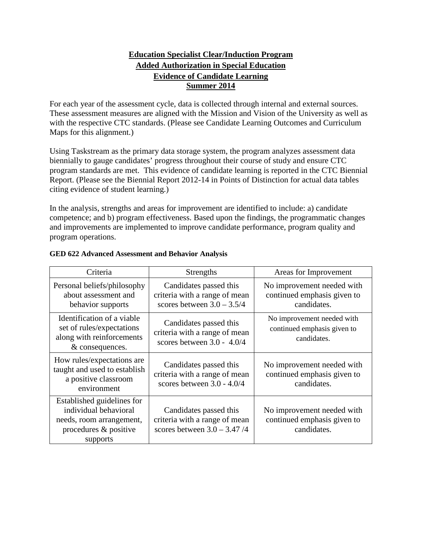### **Education Specialist Clear/Induction Program Added Authorization in Special Education Evidence of Candidate Learning Summer 2014**

For each year of the assessment cycle, data is collected through internal and external sources. These assessment measures are aligned with the Mission and Vision of the University as well as with the respective CTC standards. (Please see Candidate Learning Outcomes and Curriculum Maps for this alignment.)

Using Taskstream as the primary data storage system, the program analyzes assessment data biennially to gauge candidates' progress throughout their course of study and ensure CTC program standards are met. This evidence of candidate learning is reported in the CTC Biennial Report. (Please see the Biennial Report 2012-14 in Points of Distinction for actual data tables citing evidence of student learning.)

In the analysis, strengths and areas for improvement are identified to include: a) candidate competence; and b) program effectiveness. Based upon the findings, the programmatic changes and improvements are implemented to improve candidate performance, program quality and program operations.

| Criteria                                                                                                             | Strengths                                                                                | Areas for Improvement                                                    |
|----------------------------------------------------------------------------------------------------------------------|------------------------------------------------------------------------------------------|--------------------------------------------------------------------------|
| Personal beliefs/philosophy<br>about assessment and<br>behavior supports                                             | Candidates passed this<br>criteria with a range of mean<br>scores between $3.0 - 3.5/4$  | No improvement needed with<br>continued emphasis given to<br>candidates. |
| Identification of a viable<br>set of rules/expectations<br>along with reinforcements<br>& consequences.              | Candidates passed this<br>criteria with a range of mean<br>scores between $3.0 - 4.0/4$  | No improvement needed with<br>continued emphasis given to<br>candidates. |
| How rules/expectations are<br>taught and used to establish<br>a positive classroom<br>environment                    | Candidates passed this<br>criteria with a range of mean<br>scores between $3.0 - 4.0/4$  | No improvement needed with<br>continued emphasis given to<br>candidates. |
| Established guidelines for<br>individual behavioral<br>needs, room arrangement,<br>procedures & positive<br>supports | Candidates passed this<br>criteria with a range of mean<br>scores between $3.0 - 3.47/4$ | No improvement needed with<br>continued emphasis given to<br>candidates. |

#### **GED 622 Advanced Assessment and Behavior Analysis**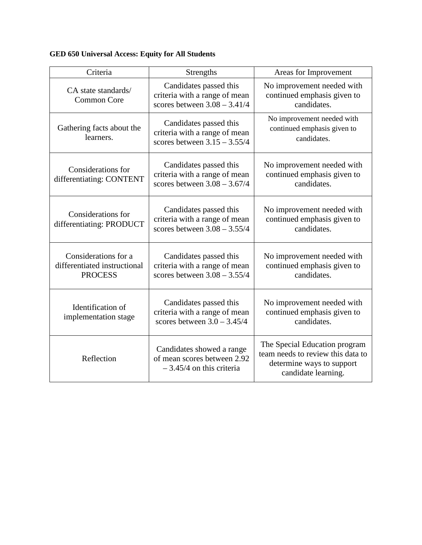### **GED 650 Universal Access: Equity for All Students**

| Criteria                                                               | Strengths                                                                                 | Areas for Improvement                                                                                                  |
|------------------------------------------------------------------------|-------------------------------------------------------------------------------------------|------------------------------------------------------------------------------------------------------------------------|
| CA state standards/<br><b>Common Core</b>                              | Candidates passed this<br>criteria with a range of mean<br>scores between $3.08 - 3.41/4$ | No improvement needed with<br>continued emphasis given to<br>candidates.                                               |
| Gathering facts about the<br>learners.                                 | Candidates passed this<br>criteria with a range of mean<br>scores between $3.15 - 3.55/4$ | No improvement needed with<br>continued emphasis given to<br>candidates.                                               |
| Considerations for<br>differentiating: CONTENT                         | Candidates passed this<br>criteria with a range of mean<br>scores between $3.08 - 3.67/4$ | No improvement needed with<br>continued emphasis given to<br>candidates.                                               |
| Considerations for<br>differentiating: PRODUCT                         | Candidates passed this<br>criteria with a range of mean<br>scores between $3.08 - 3.55/4$ | No improvement needed with<br>continued emphasis given to<br>candidates.                                               |
| Considerations for a<br>differentiated instructional<br><b>PROCESS</b> | Candidates passed this<br>criteria with a range of mean<br>scores between $3.08 - 3.55/4$ | No improvement needed with<br>continued emphasis given to<br>candidates.                                               |
| Identification of<br>implementation stage                              | Candidates passed this<br>criteria with a range of mean<br>scores between $3.0 - 3.45/4$  | No improvement needed with<br>continued emphasis given to<br>candidates.                                               |
| Reflection                                                             | Candidates showed a range<br>of mean scores between 2.92<br>$-3.45/4$ on this criteria    | The Special Education program<br>team needs to review this data to<br>determine ways to support<br>candidate learning. |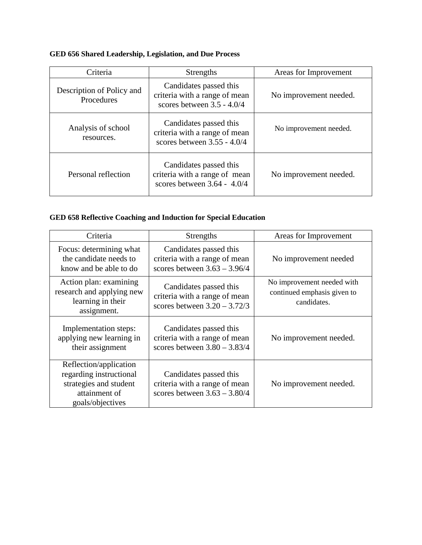## **GED 656 Shared Leadership, Legislation, and Due Process**

| Criteria                                | <b>Strengths</b>                                                                         | Areas for Improvement  |
|-----------------------------------------|------------------------------------------------------------------------------------------|------------------------|
| Description of Policy and<br>Procedures | Candidates passed this<br>criteria with a range of mean<br>scores between $3.5 - 4.0/4$  | No improvement needed. |
| Analysis of school<br>resources.        | Candidates passed this<br>criteria with a range of mean<br>scores between $3.55 - 4.0/4$ | No improvement needed. |
| Personal reflection                     | Candidates passed this<br>criteria with a range of mean<br>scores between $3.64 - 4.0/4$ | No improvement needed. |

### **GED 658 Reflective Coaching and Induction for Special Education**

| Criteria                                                                                                         | Strengths                                                                                 | Areas for Improvement                                                    |
|------------------------------------------------------------------------------------------------------------------|-------------------------------------------------------------------------------------------|--------------------------------------------------------------------------|
| Focus: determining what<br>the candidate needs to<br>know and be able to do                                      | Candidates passed this<br>criteria with a range of mean<br>scores between $3.63 - 3.96/4$ | No improvement needed                                                    |
| Action plan: examining<br>research and applying new<br>learning in their<br>assignment.                          | Candidates passed this<br>criteria with a range of mean<br>scores between $3.20 - 3.72/3$ | No improvement needed with<br>continued emphasis given to<br>candidates. |
| Implementation steps:<br>applying new learning in<br>their assignment                                            | Candidates passed this<br>criteria with a range of mean<br>scores between $3.80 - 3.83/4$ | No improvement needed.                                                   |
| Reflection/application<br>regarding instructional<br>strategies and student<br>attainment of<br>goals/objectives | Candidates passed this<br>criteria with a range of mean<br>scores between $3.63 - 3.80/4$ | No improvement needed.                                                   |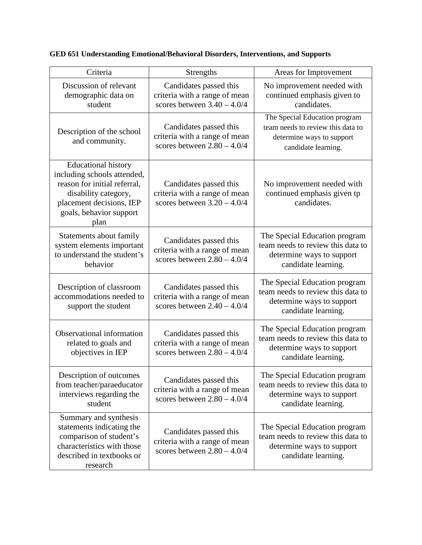| Criteria                                                                                                                                                                         | Strengths                                                                                | Areas for Improvement                                                                                                  |
|----------------------------------------------------------------------------------------------------------------------------------------------------------------------------------|------------------------------------------------------------------------------------------|------------------------------------------------------------------------------------------------------------------------|
| Discussion of relevant<br>demographic data on<br>student                                                                                                                         | Candidates passed this<br>criteria with a range of mean<br>scores between $3.40 - 4.0/4$ | No improvement needed with<br>continued emphasis given to<br>candidates.                                               |
| Description of the school<br>and community.                                                                                                                                      | Candidates passed this<br>criteria with a range of mean<br>scores between $2.80 - 4.0/4$ | The Special Education program<br>team needs to review this data to<br>determine ways to support<br>candidate learning. |
| <b>Educational history</b><br>including schools attended,<br>reason for initial referral,<br>disability category,<br>placement decisions, IEP<br>goals, behavior support<br>plan | Candidates passed this<br>criteria with a range of mean<br>scores between $3.20 - 4.0/4$ | No improvement needed with<br>continued emphasis given tp<br>candidates.                                               |
| Statements about family<br>system elements important<br>to understand the student's<br>behavior                                                                                  | Candidates passed this<br>criteria with a range of mean<br>scores between $2.80 - 4.0/4$ | The Special Education program<br>team needs to review this data to<br>determine ways to support<br>candidate learning. |
| Description of classroom<br>accommodations needed to<br>support the student                                                                                                      | Candidates passed this<br>criteria with a range of mean<br>scores between $2.40 - 4.0/4$ | The Special Education program<br>team needs to review this data to<br>determine ways to support<br>candidate learning. |
| Observational information<br>related to goals and<br>objectives in IEP                                                                                                           | Candidates passed this<br>criteria with a range of mean<br>scores between $2.80 - 4.0/4$ | The Special Education program<br>team needs to review this data to<br>determine ways to support<br>candidate learning. |
| Description of outcomes<br>from teacher/paraeducator<br>interviews regarding the<br>student                                                                                      | Candidates passed this<br>criteria with a range of mean<br>scores between $2.80 - 4.0/4$ | The Special Education program<br>team needs to review this data to<br>determine ways to support<br>candidate learning. |
| Summary and synthesis<br>statements indicating the<br>comparison of student's<br>characteristics with those<br>described in textbooks or<br>research                             | Candidates passed this<br>criteria with a range of mean<br>scores between $2.80 - 4.0/4$ | The Special Education program<br>team needs to review this data to<br>determine ways to support<br>candidate learning. |

**GED 651 Understanding Emotional/Behavioral Disorders, Interventions, and Supports**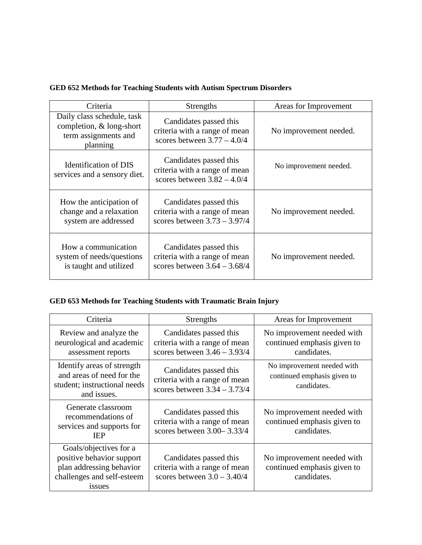|  |  | GED 652 Methods for Teaching Students with Autism Spectrum Disorders |
|--|--|----------------------------------------------------------------------|
|--|--|----------------------------------------------------------------------|

| Criteria                                                                                   | Strengths                                                                                 | Areas for Improvement  |
|--------------------------------------------------------------------------------------------|-------------------------------------------------------------------------------------------|------------------------|
| Daily class schedule, task<br>completion, & long-short<br>term assignments and<br>planning | Candidates passed this<br>criteria with a range of mean<br>scores between $3.77 - 4.0/4$  | No improvement needed. |
| Identification of DIS<br>services and a sensory diet.                                      | Candidates passed this<br>criteria with a range of mean<br>scores between $3.82 - 4.0/4$  | No improvement needed. |
| How the anticipation of<br>change and a relaxation<br>system are addressed                 | Candidates passed this<br>criteria with a range of mean<br>scores between $3.73 - 3.97/4$ | No improvement needed. |
| How a communication<br>system of needs/questions<br>is taught and utilized                 | Candidates passed this<br>criteria with a range of mean<br>scores between $3.64 - 3.68/4$ | No improvement needed. |

# **GED 653 Methods for Teaching Students with Traumatic Brain Injury**

| Criteria                                                                                                                | Strengths                                                                                 | Areas for Improvement                                                    |
|-------------------------------------------------------------------------------------------------------------------------|-------------------------------------------------------------------------------------------|--------------------------------------------------------------------------|
| Review and analyze the<br>neurological and academic<br>assessment reports                                               | Candidates passed this<br>criteria with a range of mean<br>scores between $3.46 - 3.93/4$ | No improvement needed with<br>continued emphasis given to<br>candidates. |
| Identify areas of strength<br>and areas of need for the<br>student; instructional needs<br>and issues.                  | Candidates passed this<br>criteria with a range of mean<br>scores between $3.34 - 3.73/4$ | No improvement needed with<br>continued emphasis given to<br>candidates. |
| Generate classroom<br>recommendations of<br>services and supports for<br><b>IEP</b>                                     | Candidates passed this<br>criteria with a range of mean<br>scores between $3.00 - 3.33/4$ | No improvement needed with<br>continued emphasis given to<br>candidates. |
| Goals/objectives for a<br>positive behavior support<br>plan addressing behavior<br>challenges and self-esteem<br>issues | Candidates passed this<br>criteria with a range of mean<br>scores between $3.0 - 3.40/4$  | No improvement needed with<br>continued emphasis given to<br>candidates. |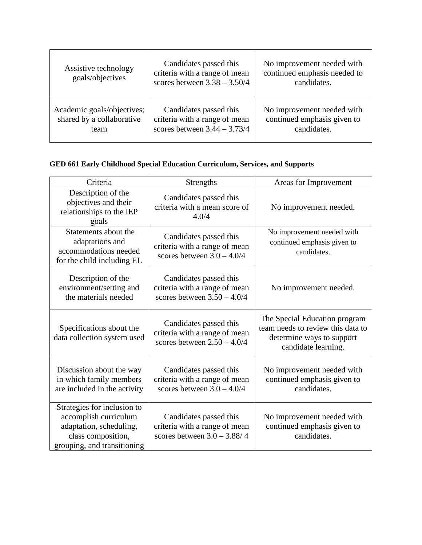| Assistive technology<br>goals/objectives | Candidates passed this<br>criteria with a range of mean<br>scores between $3.38 - 3.50/4$ | No improvement needed with<br>continued emphasis needed to<br>candidates. |
|------------------------------------------|-------------------------------------------------------------------------------------------|---------------------------------------------------------------------------|
| Academic goals/objectives;               | Candidates passed this                                                                    | No improvement needed with                                                |
| shared by a collaborative                | criteria with a range of mean                                                             | continued emphasis given to                                               |
| team                                     | scores between $3.44 - 3.73/4$                                                            | candidates.                                                               |

# **GED 661 Early Childhood Special Education Curriculum, Services, and Supports**

| Criteria                                                                                                                             | <b>Strengths</b>                                                                         | Areas for Improvement                                                                                                  |
|--------------------------------------------------------------------------------------------------------------------------------------|------------------------------------------------------------------------------------------|------------------------------------------------------------------------------------------------------------------------|
| Description of the<br>objectives and their<br>relationships to the IEP<br>goals                                                      | Candidates passed this<br>criteria with a mean score of<br>4.0/4                         | No improvement needed.                                                                                                 |
| Statements about the<br>adaptations and<br>accommodations needed<br>for the child including EL                                       | Candidates passed this<br>criteria with a range of mean<br>scores between $3.0 - 4.0/4$  | No improvement needed with<br>continued emphasis given to<br>candidates.                                               |
| Description of the<br>environment/setting and<br>the materials needed                                                                | Candidates passed this<br>criteria with a range of mean<br>scores between $3.50 - 4.0/4$ | No improvement needed.                                                                                                 |
| Specifications about the<br>data collection system used                                                                              | Candidates passed this<br>criteria with a range of mean<br>scores between $2.50 - 4.0/4$ | The Special Education program<br>team needs to review this data to<br>determine ways to support<br>candidate learning. |
| Discussion about the way<br>in which family members<br>are included in the activity                                                  | Candidates passed this<br>criteria with a range of mean<br>scores between $3.0 - 4.0/4$  | No improvement needed with<br>continued emphasis given to<br>candidates.                                               |
| Strategies for inclusion to<br>accomplish curriculum<br>adaptation, scheduling,<br>class composition,<br>grouping, and transitioning | Candidates passed this<br>criteria with a range of mean<br>scores between $3.0 - 3.88/4$ | No improvement needed with<br>continued emphasis given to<br>candidates.                                               |